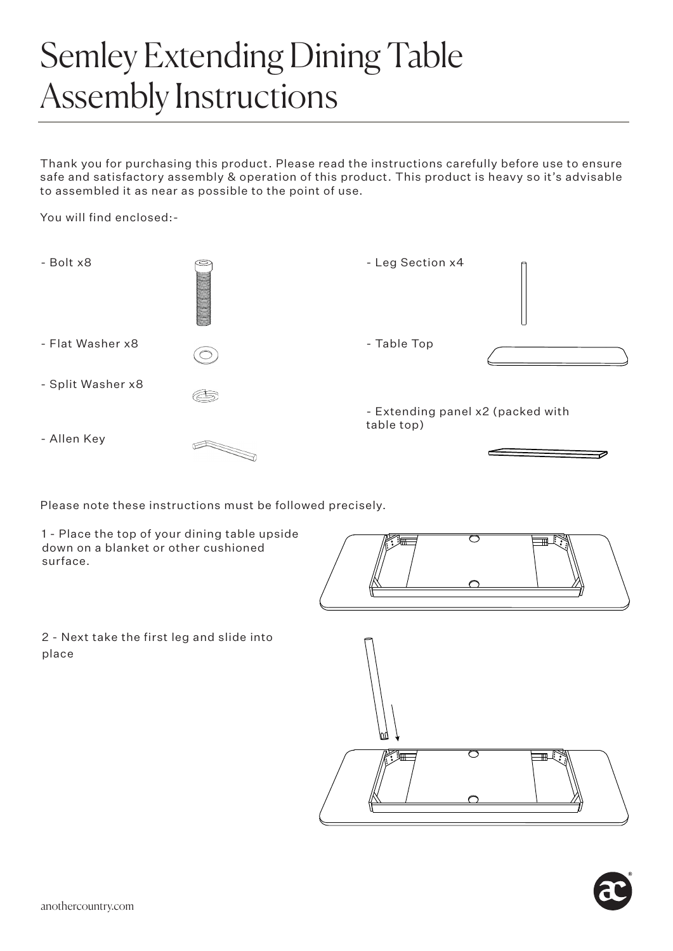## Semley Extending Dining Table Assembly Instructions

Thank you for purchasing this product. Please read the instructions carefully before use to ensure safe and satisfactory assembly & operation of this product. This product is heavy so it's advisable to assembled it as near as possible to the point of use.

You will find enclosed:-



Please note these instructions must be followed precisely.

1 - Place the top of your dining table upside down on a blanket or other cushioned surface.



2 - Next take the first leg and slide into place



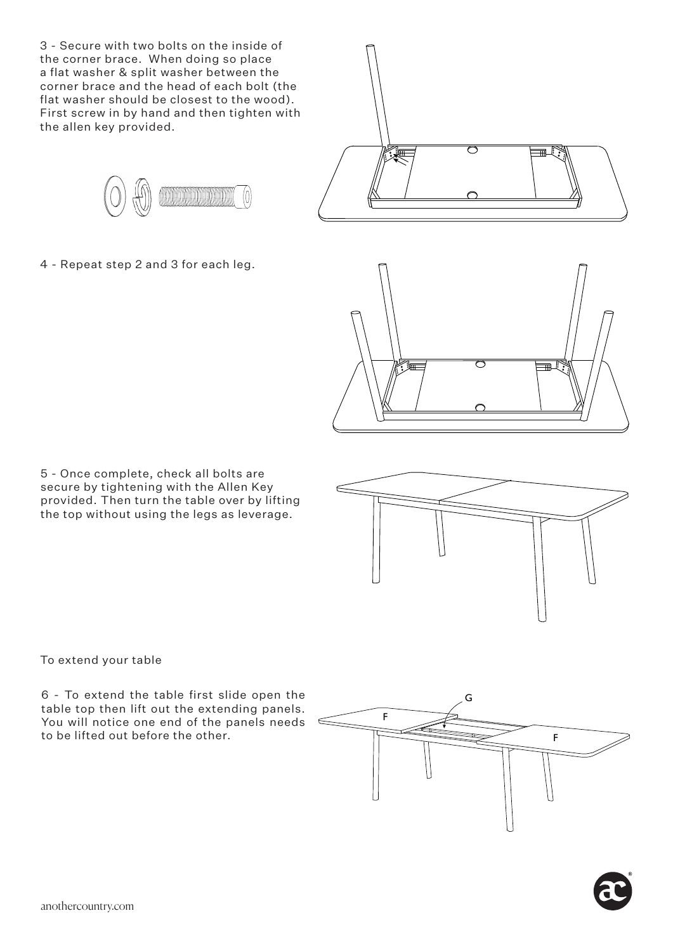3 - Secure with two bolts on the inside of the corner brace. When doing so place a flat washer & split washer between the corner brace and the head of each bolt (the flat washer should be closest to the wood). First screw in by hand and then tighten with the allen key provided.



4 - Repeat step 2 and 3 for each leg.



ᆕ

5 - Once complete, check all bolts are secure by tightening with the Allen Key provided. Then turn the table over by lifting the top without using the legs as leverage.

To extend your table

6 - To extend the table first slide open the table top then lift out the extending panels. You will notice one end of the panels needs to be lifted out before the other.